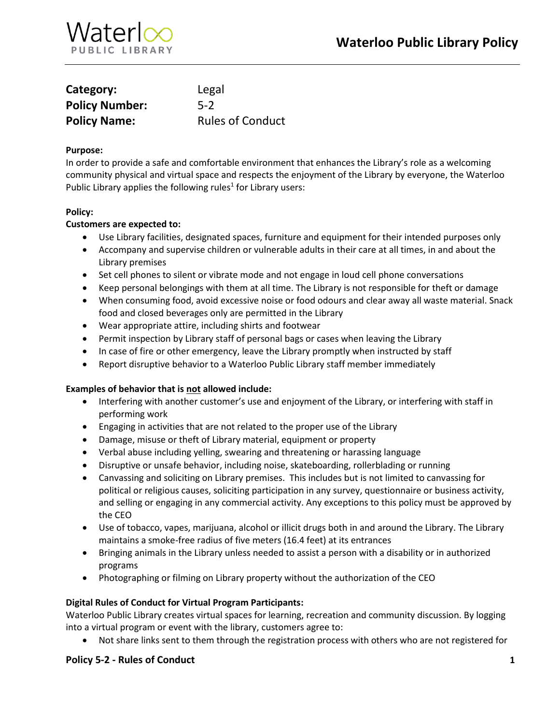

| Category:             | Legal                   |
|-----------------------|-------------------------|
| <b>Policy Number:</b> | $5-2$                   |
| <b>Policy Name:</b>   | <b>Rules of Conduct</b> |

## **Purpose:**

In order to provide a safe and comfortable environment that enhances the Library's role as a welcoming community physical and virtual space and respects the enjoyment of the Library by everyone, the Waterloo Public Library applies the following rules<sup>1</sup> for Library users:

### **Policy:**

### **Customers are expected to:**

- Use Library facilities, designated spaces, furniture and equipment for their intended purposes only
- Accompany and supervise children or vulnerable adults in their care at all times, in and about the Library premises
- Set cell phones to silent or vibrate mode and not engage in loud cell phone conversations
- Keep personal belongings with them at all time. The Library is not responsible for theft or damage
- When consuming food, avoid excessive noise or food odours and clear away all waste material. Snack food and closed beverages only are permitted in the Library
- Wear appropriate attire, including shirts and footwear
- Permit inspection by Library staff of personal bags or cases when leaving the Library
- In case of fire or other emergency, leave the Library promptly when instructed by staff
- Report disruptive behavior to a Waterloo Public Library staff member immediately

#### **Examples of behavior that is not allowed include:**

- Interfering with another customer's use and enjoyment of the Library, or interfering with staff in performing work
- Engaging in activities that are not related to the proper use of the Library
- Damage, misuse or theft of Library material, equipment or property
- Verbal abuse including yelling, swearing and threatening or harassing language
- Disruptive or unsafe behavior, including noise, skateboarding, rollerblading or running
- Canvassing and soliciting on Library premises. This includes but is not limited to canvassing for political or religious causes, soliciting participation in any survey, questionnaire or business activity, and selling or engaging in any commercial activity. Any exceptions to this policy must be approved by the CEO
- Use of tobacco, vapes, marijuana, alcohol or illicit drugs both in and around the Library. The Library maintains a smoke-free radius of five meters (16.4 feet) at its entrances
- Bringing animals in the Library unless needed to assist a person with a disability or in authorized programs
- Photographing or filming on Library property without the authorization of the CEO

#### **Digital Rules of Conduct for Virtual Program Participants:**

Waterloo Public Library creates virtual spaces for learning, recreation and community discussion. By logging into a virtual program or event with the library, customers agree to:

Not share links sent to them through the registration process with others who are not registered for

## **Policy 5-2 - Rules of Conduct 1**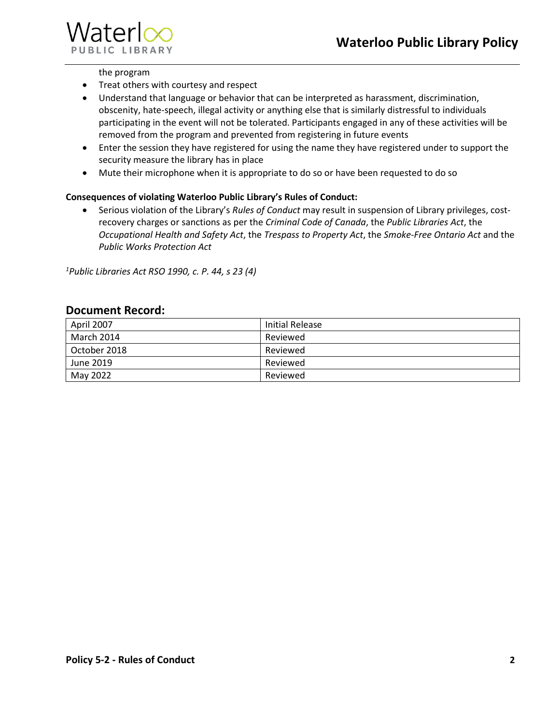

## the program

- Treat others with courtesy and respect
- Understand that language or behavior that can be interpreted as harassment, discrimination, obscenity, hate-speech, illegal activity or anything else that is similarly distressful to individuals participating in the event will not be tolerated. Participants engaged in any of these activities will be removed from the program and prevented from registering in future events
- Enter the session they have registered for using the name they have registered under to support the security measure the library has in place
- Mute their microphone when it is appropriate to do so or have been requested to do so

# **Consequences of violating Waterloo Public Library's Rules of Conduct:**

 Serious violation of the Library's *Rules of Conduct* may result in suspension of Library privileges, costrecovery charges or sanctions as per the *Criminal Code of Canada*, the *Public Libraries Act*, the *Occupational Health and Safety Act*, the *Trespass to Property Act*, the *Smoke-Free Ontario Act* and the *Public Works Protection Act*

*<sup>1</sup>Public Libraries Act RSO 1990, c. P. 44, s 23 (4)*

# **Document Record:**

| April 2007   | Initial Release |
|--------------|-----------------|
| March 2014   | Reviewed        |
| October 2018 | Reviewed        |
| June 2019    | Reviewed        |
| May 2022     | Reviewed        |